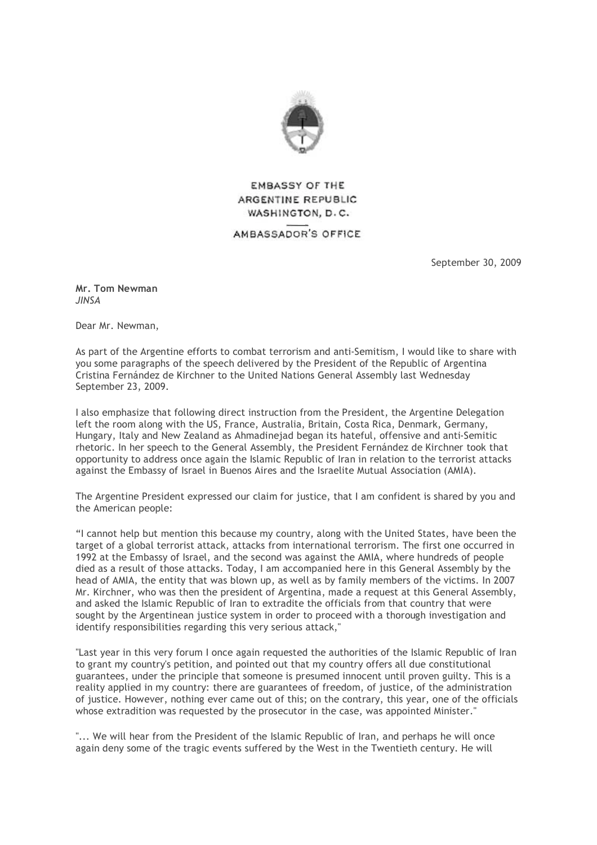

**EMBASSY OF THE** ARGENTINE REPUBLIC WASHINGTON, D.C. AMBASSADOR'S OFFICE

September 30, 2009

**Mr. Tom Newman**  *JINSA* 

Dear Mr. Newman,

As part of the Argentine efforts to combat terrorism and anti-Semitism, I would like to share with you some paragraphs of the speech delivered by the President of the Republic of Argentina Cristina Fernández de Kirchner to the United Nations General Assembly last Wednesday September 23, 2009.

I also emphasize that following direct instruction from the President, the Argentine Delegation left the room along with the US, France, Australia, Britain, Costa Rica, Denmark, Germany, Hungary, Italy and New Zealand as Ahmadinejad began its hateful, offensive and anti-Semitic rhetoric. In her speech to the General Assembly, the President Fernández de Kirchner took that opportunity to address once again the Islamic Republic of Iran in relation to the terrorist attacks against the Embassy of Israel in Buenos Aires and the Israelite Mutual Association (AMIA).

The Argentine President expressed our claim for justice, that I am confident is shared by you and the American people:

"I cannot help but mention this because my country, along with the United States, have been the target of a global terrorist attack, attacks from international terrorism. The first one occurred in 1992 at the Embassy of Israel, and the second was against the AMIA, where hundreds of people died as a result of those attacks. Today, I am accompanied here in this General Assembly by the head of AMIA, the entity that was blown up, as well as by family members of the victims. In 2007 Mr. Kirchner, who was then the president of Argentina, made a request at this General Assembly, and asked the Islamic Republic of Iran to extradite the officials from that country that were sought by the Argentinean justice system in order to proceed with a thorough investigation and identify responsibilities regarding this very serious attack,"

"Last year in this very forum I once again requested the authorities of the Islamic Republic of Iran to grant my country's petition, and pointed out that my country offers all due constitutional guarantees, under the principle that someone is presumed innocent until proven guilty. This is a reality applied in my country: there are guarantees of freedom, of justice, of the administration of justice. However, nothing ever came out of this; on the contrary, this year, one of the officials whose extradition was requested by the prosecutor in the case, was appointed Minister."

"... We will hear from the President of the Islamic Republic of Iran, and perhaps he will once again deny some of the tragic events suffered by the West in the Twentieth century. He will